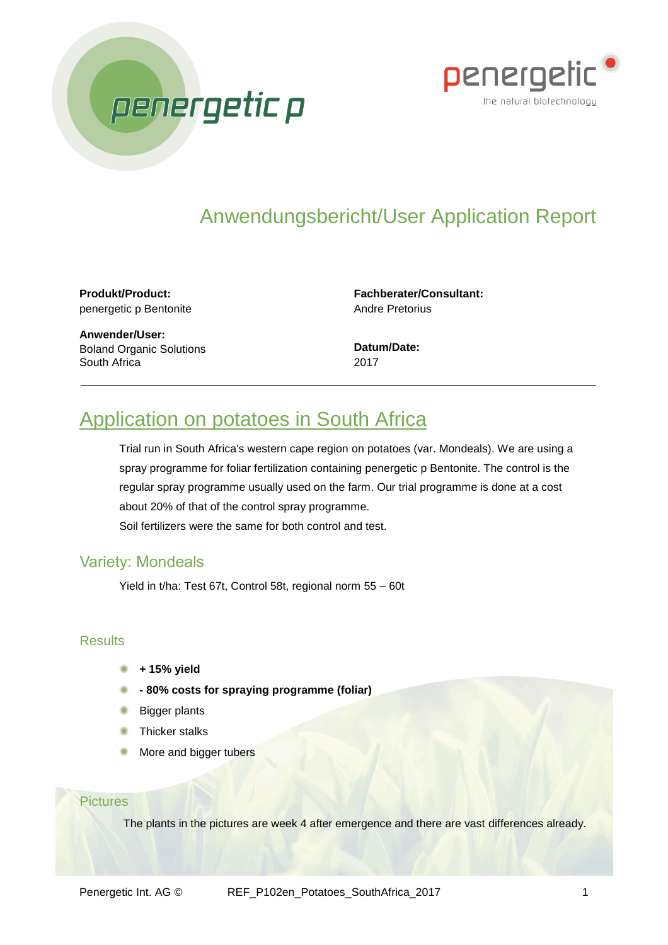



# Anwendungsbericht/User Application Report

**Produkt/Product:** penergetic p Bentonite

**Fachberater/Consultant:** Andre Pretorius

**Anwender/User:** Boland Organic Solutions South Africa

**Datum/Date:** 2017

# Application on potatoes in South Africa

Trial run in South Africa's western cape region on potatoes (var. Mondeals). We are using a spray programme for foliar fertilization containing penergetic p Bentonite. The control is the regular spray programme usually used on the farm. Our trial programme is done at a cost about 20% of that of the control spray programme.

Soil fertilizers were the same for both control and test.

## Variety: Mondeals

Yield in t/ha: Test 67t, Control 58t, regional norm 55 – 60t

### **Results**

- **+ 15% yield**
- **- 80% costs for spraying programme (foliar)**
- Bigger plants
- Thicker stalks
- More and bigger tubers

#### **Pictures**

The plants in the pictures are week 4 after emergence and there are vast differences already.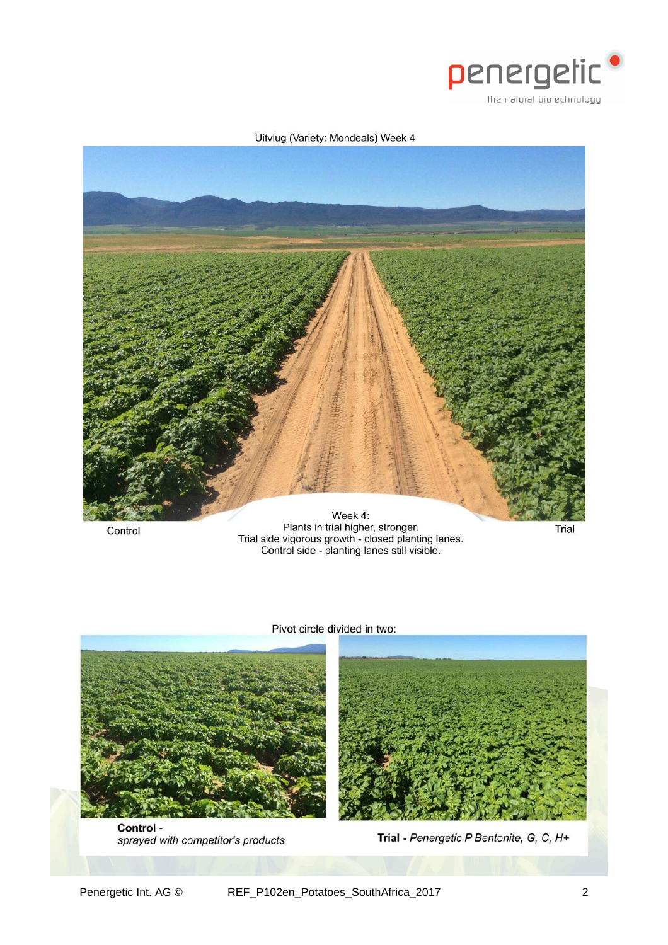

#### Uitvlug (Variety: Mondeals) Week 4



Control

Plants in trial higher, stronger.<br>Trial side vigorous growth - closed planting lanes.<br>Control side - planting lanes still visible.

Trial





Control sprayed with competitor's products



Trial - Penergetic P Bentonite, G, C, H+